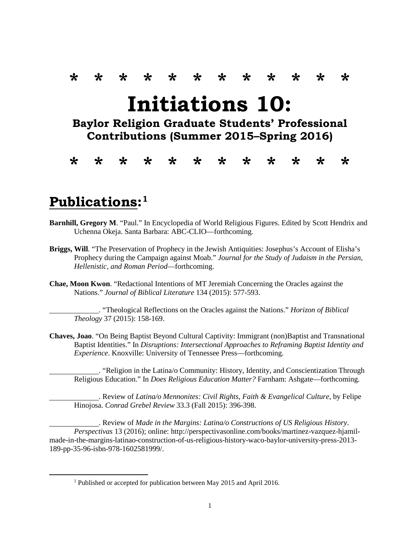## **\* \* \* \* \* \* \* \* \* \* \* \* Initiations 10: Baylor Religion Graduate Students' Professional Contributions (Summer 2015–Spring 2016)**

**\* \* \* \* \* \* \* \* \* \* \* \***

## **Publications:[1](#page-0-0)**

- **Barnhill, Gregory M**. "Paul." In Encyclopedia of World Religious Figures. Edited by Scott Hendrix and Uchenna Okeja. Santa Barbara: ABC-CLIO—forthcoming.
- **Briggs, Will**. "The Preservation of Prophecy in the Jewish Antiquities: Josephus's Account of Elisha's Prophecy during the Campaign against Moab." *Journal for the Study of Judaism in the Persian, Hellenistic, and Roman Period*—forthcoming.
- **Chae, Moon Kwon**. "Redactional Intentions of MT Jeremiah Concerning the Oracles against the Nations." *Journal of Biblical Literature* 134 (2015): 577-593.

. "Theological Reflections on the Oracles against the Nations." *Horizon of Biblical Theology* 37 (2015): 158-169.

**Chaves, Joao**. "On Being Baptist Beyond Cultural Captivity: Immigrant (non)Baptist and Transnational Baptist Identities." In *Disruptions: Intersectional Approaches to Reframing Baptist Identity and Experience*. Knoxville: University of Tennessee Press—forthcoming.

. "Religion in the Latina/o Community: History, Identity, and Conscientization Through Religious Education." In *Does Religious Education Matter?* Farnham: Ashgate—forthcoming.

. Review of *Latina/o Mennonites: Civil Rights, Faith & Evangelical Culture*, by Felipe Hinojosa. *Conrad Grebel Review* 33.3 (Fall 2015): 396-398.

. Review of *Made in the Margins: Latina/o Constructions of US Religious History*. *Perspectivas* 13 (2016); online: http://perspectivasonline.com/books/martinez-vazquez-hjamilmade-in-the-margins-latinao-construction-of-us-religious-history-waco-baylor-university-press-2013- 189-pp-35-96-isbn-978-1602581999/.

<span id="page-0-0"></span> <sup>1</sup> Published or accepted for publication between May 2015 and April 2016.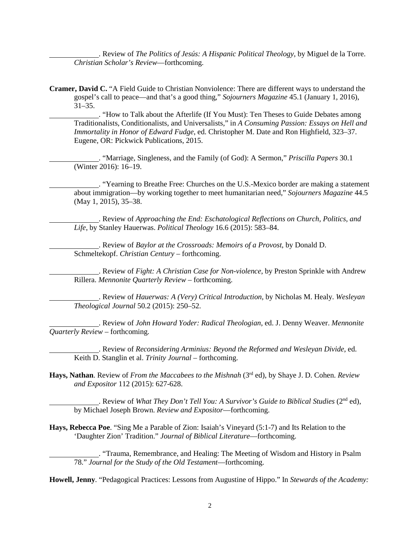. Review of *The Politics of Jesús: A Hispanic Political Theology*, by Miguel de la Torre. *Christian Scholar's Review*—forthcoming.

**Cramer, David C.** "A Field Guide to Christian Nonviolence: There are different ways to understand the gospel's call to peace—and that's a good thing," *Sojourners Magazine* 45.1 (January 1, 2016),  $31-35.$ 

. "How to Talk about the Afterlife (If You Must): Ten Theses to Guide Debates among Traditionalists, Conditionalists, and Universalists," in *A Consuming Passion: Essays on Hell and Immortality in Honor of Edward Fudge*, ed. Christopher M. Date and Ron Highfield, 323–37. Eugene, OR: Pickwick Publications, 2015.

. "Marriage, Singleness, and the Family (of God): A Sermon," *Priscilla Papers* 30.1 (Winter 2016): 16–19.

. "Yearning to Breathe Free: Churches on the U.S.-Mexico border are making a statement about immigration—by working together to meet humanitarian need," *Sojourners Magazine* 44.5 (May 1, 2015), 35–38.

. Review of *Approaching the End: Eschatological Reflections on Church, Politics, and Life*, by Stanley Hauerwas. *Political Theology* 16.6 (2015): 583–84.

. Review of *Baylor at the Crossroads: Memoirs of a Provost*, by Donald D. Schmeltekopf. *Christian Century* – forthcoming.

. Review of *Fight: A Christian Case for Non-violence*, by Preston Sprinkle with Andrew Rillera. *Mennonite Quarterly Review* – forthcoming.

. Review of *Hauerwas: A (Very) Critical Introduction*, by Nicholas M. Healy. *Wesleyan Theological Journal* 50.2 (2015): 250–52.

. Review of *John Howard Yoder: Radical Theologian*, ed. J. Denny Weaver. *Mennonite Quarterly Review* – forthcoming.

. Review of *Reconsidering Arminius: Beyond the Reformed and Wesleyan Divide*, ed. Keith D. Stanglin et al. *Trinity Journal* – forthcoming.

**Hays, Nathan**. Review of *From the Maccabees to the Mishnah* (3rd ed), by Shaye J. D. Cohen. *Review and Expositor* 112 (2015): 627-628.

. Review of *What They Don't Tell You: A Survivor's Guide to Biblical Studies* (2nd ed), by Michael Joseph Brown. *Review and Expositor*—forthcoming.

**Hays, Rebecca Poe**. "Sing Me a Parable of Zion: Isaiah's Vineyard (5:1-7) and Its Relation to the 'Daughter Zion' Tradition." *Journal of Biblical Literature*—forthcoming.

. "Trauma, Remembrance, and Healing: The Meeting of Wisdom and History in Psalm 78." *Journal for the Study of the Old Testament*—forthcoming.

**Howell, Jenny**. "Pedagogical Practices: Lessons from Augustine of Hippo." In *Stewards of the Academy:*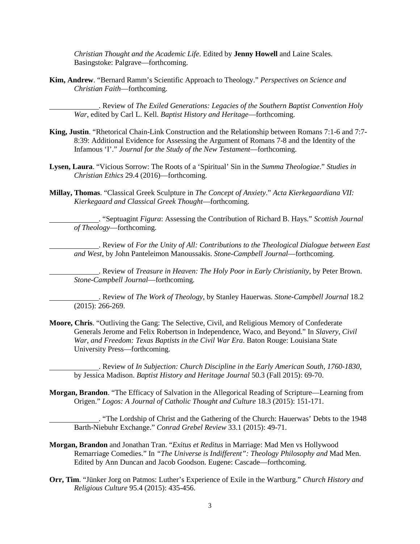*Christian Thought and the Academic Life*. Edited by **Jenny Howell** and Laine Scales. Basingstoke: Palgrave—forthcoming.

**Kim, Andrew**. "Bernard Ramm's Scientific Approach to Theology." *Perspectives on Science and Christian Faith*—forthcoming.

. Review of *The Exiled Generations: Legacies of the Southern Baptist Convention Holy War*, edited by Carl L. Kell. *Baptist History and Heritage*—forthcoming.

- **King, Justin**. "Rhetorical Chain-Link Construction and the Relationship between Romans 7:1-6 and 7:7- 8:39: Additional Evidence for Assessing the Argument of Romans 7-8 and the Identity of the Infamous 'I'." *Journal for the Study of the New Testament*—forthcoming.
- **Lysen, Laura**. "Vicious Sorrow: The Roots of a 'Spiritual' Sin in the *Summa Theologiae*." *Studies in Christian Ethics* 29.4 (2016)—forthcoming.
- **Millay, Thomas**. "Classical Greek Sculpture in *The Concept of Anxiety*." *Acta Kierkegaardiana VII: Kierkegaard and Classical Greek Thought*—forthcoming.

. "Septuagint *Figura*: Assessing the Contribution of Richard B. Hays." *Scottish Journal of Theology*—forthcoming.

. Review of *For the Unity of All: Contributions to the Theological Dialogue between East and West*, by John Panteleimon Manoussakis. *Stone-Campbell Journal*—forthcoming.

. Review of *Treasure in Heaven: The Holy Poor in Early Christianity*, by Peter Brown. *Stone-Campbell Journal*—forthcoming.

. Review of *The Work of Theology*, by Stanley Hauerwas. *Stone-Campbell Journal* 18.2 (2015): 266-269.

**Moore, Chris**. "Outliving the Gang: The Selective, Civil, and Religious Memory of Confederate Generals Jerome and Felix Robertson in Independence, Waco, and Beyond." In *Slavery, Civil War, and Freedom: Texas Baptists in the Civil War Era*. Baton Rouge: Louisiana State University Press—forthcoming.

. Review of *In Subjection: Church Discipline in the Early American South, 1760-1830*, by Jessica Madison. *Baptist History and Heritage Journal* 50.3 (Fall 2015): 69-70.

**Morgan, Brandon**. "The Efficacy of Salvation in the Allegorical Reading of Scripture—Learning from Origen." *Logos: A Journal of Catholic Thought and Culture* 18.3 (2015): 151-171.

. "The Lordship of Christ and the Gathering of the Church: Hauerwas' Debts to the 1948 Barth-Niebuhr Exchange." *Conrad Grebel Review* 33.1 (2015): 49-71.

- **Morgan, Brandon** and Jonathan Tran. "*Exitus et Reditus* in Marriage: Mad Men vs Hollywood Remarriage Comedies." In *"The Universe is Indifferent": Theology Philosophy and* Mad Men. Edited by Ann Duncan and Jacob Goodson. Eugene: Cascade—forthcoming.
- **Orr, Tim**. "Jünker Jorg on Patmos: Luther's Experience of Exile in the Wartburg." *Church History and Religious Culture* 95.4 (2015): 435-456.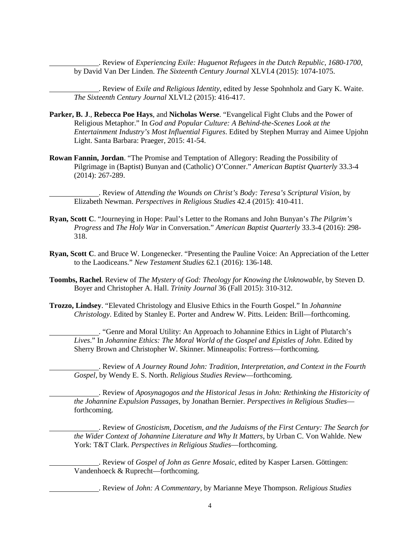. Review of *Experiencing Exile: Huguenot Refugees in the Dutch Republic, 1680-1700*, by David Van Der Linden. *The Sixteenth Century Journal* XLVI.4 (2015): 1074-1075.

. Review of *Exile and Religious Identity*, edited by Jesse Spohnholz and Gary K. Waite. *The Sixteenth Century Journal* XLVI.2 (2015): 416-417.

- **Parker, B. J**., **Rebecca Poe Hays**, and **Nicholas Werse**. "Evangelical Fight Clubs and the Power of Religious Metaphor." In *God and Popular Culture: A Behind-the-Scenes Look at the Entertainment Industry's Most Influential Figures*. Edited by Stephen Murray and Aimee Upjohn Light. Santa Barbara: Praeger, 2015: 41-54.
- **Rowan Fannin, Jordan**. "The Promise and Temptation of Allegory: Reading the Possibility of Pilgrimage in (Baptist) Bunyan and (Catholic) O'Conner." *American Baptist Quarterly* 33.3-4 (2014): 267-289.

. Review of *Attending the Wounds on Christ's Body: Teresa's Scriptural Vision*, by Elizabeth Newman. *Perspectives in Religious Studies* 42.4 (2015): 410-411.

- **Ryan, Scott C**. "Journeying in Hope: Paul's Letter to the Romans and John Bunyan's *The Pilgrim's Progress* and *The Holy War* in Conversation." *American Baptist Quarterly* 33.3-4 (2016): 298- 318.
- **Ryan, Scott C**. and Bruce W. Longenecker. "Presenting the Pauline Voice: An Appreciation of the Letter to the Laodiceans." *New Testament Studies* 62.1 (2016): 136-148.
- **Toombs, Rachel**. Review of *The Mystery of God: Theology for Knowing the Unknowable*, by Steven D. Boyer and Christopher A. Hall. *Trinity Journal* 36 (Fall 2015): 310-312.
- **Trozzo, Lindsey**. "Elevated Christology and Elusive Ethics in the Fourth Gospel." In *Johannine Christology*. Edited by Stanley E. Porter and Andrew W. Pitts. Leiden: Brill—forthcoming.

. "Genre and Moral Utility: An Approach to Johannine Ethics in Light of Plutarch's *Lives*." In *Johannine Ethics: The Moral World of the Gospel and Epistles of John*. Edited by Sherry Brown and Christopher W. Skinner. Minneapolis: Fortress—forthcoming.

. Review of *A Journey Round John: Tradition, Interpretation, and Context in the Fourth Gospel*, by Wendy E. S. North. *Religious Studies Review*—forthcoming.

. Review of *Aposynagogos and the Historical Jesus in John: Rethinking the Historicity of the Johannine Expulsion Passages*, by Jonathan Bernier. *Perspectives in Religious Studies* forthcoming.

. Review of *Gnosticism, Docetism, and the Judaisms of the First Century: The Search for the Wider Context of Johannine Literature and Why It Matters*, by Urban C. Von Wahlde. New York: T&T Clark. *Perspectives in Religious Studies*—forthcoming.

. Review of *Gospel of John as Genre Mosaic*, edited by Kasper Larsen. Göttingen: Vandenhoeck & Ruprecht—forthcoming.

. Review of *John: A Commentary*, by Marianne Meye Thompson. *Religious Studies*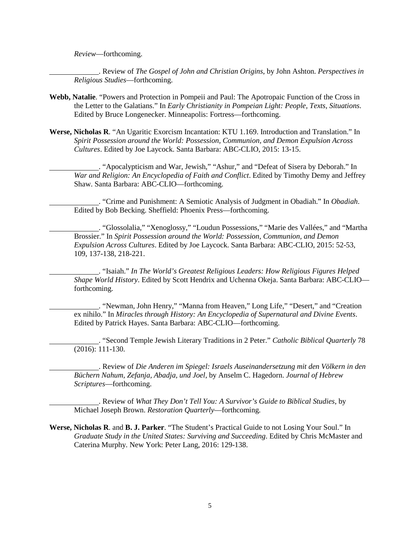*Review*—forthcoming.

. Review of *The Gospel of John and Christian Origins*, by John Ashton. *Perspectives in Religious Studies*—forthcoming.

- **Webb, Natalie**. "Powers and Protection in Pompeii and Paul: The Apotropaic Function of the Cross in the Letter to the Galatians." In *Early Christianity in Pompeian Light: People, Texts, Situations*. Edited by Bruce Longenecker. Minneapolis: Fortress—forthcoming.
- **Werse, Nicholas R**. "An Ugaritic Exorcism Incantation: KTU 1.169. Introduction and Translation." In *Spirit Possession around the World: Possession, Communion, and Demon Expulsion Across Cultures*. Edited by Joe Laycock. Santa Barbara: ABC-CLIO, 2015: 13-15.

. "Apocalypticism and War, Jewish," "Ashur," and "Defeat of Sisera by Deborah." In *War and Religion: An Encyclopedia of Faith and Conflict*. Edited by Timothy Demy and Jeffrey Shaw. Santa Barbara: ABC-CLIO—forthcoming.

. "Crime and Punishment: A Semiotic Analysis of Judgment in Obadiah." In *Obadiah*. Edited by Bob Becking. Sheffield: Phoenix Press—forthcoming.

. "Glossolalia," "Xenoglossy," "Loudun Possessions," "Marie des Vallées," and "Martha Brossier." In *Spirit Possession around the World: Possession, Communion, and Demon Expulsion Across Cultures*. Edited by Joe Laycock. Santa Barbara: ABC-CLIO, 2015: 52-53, 109, 137-138, 218-221.

. "Isaiah." *In The World's Greatest Religious Leaders: How Religious Figures Helped Shape World History*. Edited by Scott Hendrix and Uchenna Okeja. Santa Barbara: ABC-CLIO forthcoming.

. "Newman, John Henry," "Manna from Heaven," Long Life," "Desert," and "Creation ex nihilo." In *Miracles through History: An Encyclopedia of Supernatural and Divine Events*. Edited by Patrick Hayes. Santa Barbara: ABC-CLIO—forthcoming.

. "Second Temple Jewish Literary Traditions in 2 Peter." *Catholic Biblical Quarterly* 78 (2016): 111-130.

. Review of *Die Anderen im Spiegel: Israels Auseinandersetzung mit den Völkern in den Büchern Nahum, Zefanja, Abadja, und Joel*, by Anselm C. Hagedorn. *Journal of Hebrew Scriptures*—forthcoming.

. Review of *What They Don't Tell You: A Survivor's Guide to Biblical Studies*, by Michael Joseph Brown. *Restoration Quarterly*—forthcoming.

**Werse, Nicholas R**. and **B. J. Parker**. "The Student's Practical Guide to not Losing Your Soul." In *Graduate Study in the United States: Surviving and Succeeding*. Edited by Chris McMaster and Caterina Murphy. New York: Peter Lang, 2016: 129-138.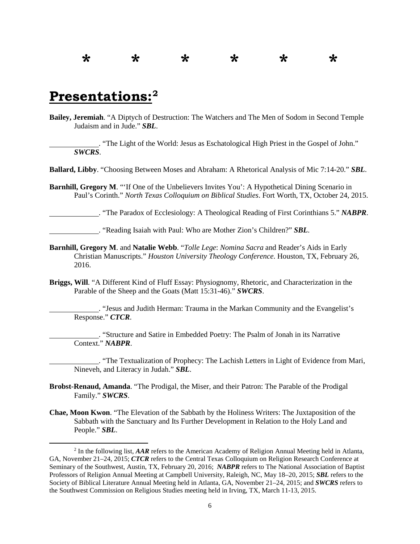## **\* \* \* \* \* \***

## **Presentations[:2](#page-5-0)**

**Bailey, Jeremiah**. "A Diptych of Destruction: The Watchers and The Men of Sodom in Second Temple Judaism and in Jude." *SBL*.

. "The Light of the World: Jesus as Eschatological High Priest in the Gospel of John." *SWCRS*.

**Ballard, Libby**. "Choosing Between Moses and Abraham: A Rhetorical Analysis of Mic 7:14-20." *SBL*.

**Barnhill, Gregory M.** "If One of the Unbelievers Invites You': A Hypothetical Dining Scenario in Paul's Corinth." *North Texas Colloquium on Biblical Studies*. Fort Worth, TX, October 24, 2015.

. "The Paradox of Ecclesiology: A Theological Reading of First Corinthians 5." *NABPR*.

. "Reading Isaiah with Paul: Who are Mother Zion's Children?" *SBL*.

- **Barnhill, Gregory M**. and **Natalie Webb**. "*Tolle Lege*: *Nomina Sacra* and Reader's Aids in Early Christian Manuscripts." *Houston University Theology Conference*. Houston, TX, February 26, 2016.
- **Briggs, Will**. "A Different Kind of Fluff Essay: Physiognomy, Rhetoric, and Characterization in the Parable of the Sheep and the Goats (Matt 15:31-46)." *SWCRS*.

. "Jesus and Judith Herman: Trauma in the Markan Community and the Evangelist's Response." *CTCR*.

. "Structure and Satire in Embedded Poetry: The Psalm of Jonah in its Narrative Context." *NABPR*.

. "The Textualization of Prophecy: The Lachish Letters in Light of Evidence from Mari, Nineveh, and Literacy in Judah." *SBL*.

- **Brobst-Renaud, Amanda**. "The Prodigal, the Miser, and their Patron: The Parable of the Prodigal Family." *SWCRS*.
- **Chae, Moon Kwon**. "The Elevation of the Sabbath by the Holiness Writers: The Juxtaposition of the Sabbath with the Sanctuary and Its Further Development in Relation to the Holy Land and People." *SBL*.

<span id="page-5-0"></span> <sup>2</sup> In the following list, *AAR* refers to the American Academy of Religion Annual Meeting held in Atlanta, GA, November 21–24, 2015; *CTCR* refers to the Central Texas Colloquium on Religion Research Conference at Seminary of the Southwest, Austin, TX, February 20, 2016; *NABPR* refers to The National Association of Baptist Professors of Religion Annual Meeting at Campbell University, Raleigh, NC, May 18–20, 2015; *SBL* refers to the Society of Biblical Literature Annual Meeting held in Atlanta, GA, November 21–24, 2015; and *SWCRS* refers to the Southwest Commission on Religious Studies meeting held in Irving, TX, March 11-13, 2015.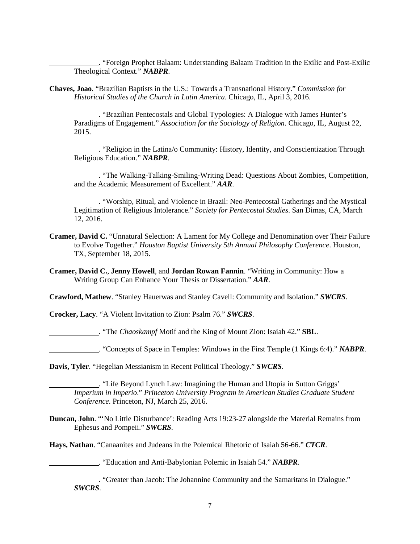. "Foreign Prophet Balaam: Understanding Balaam Tradition in the Exilic and Post-Exilic Theological Context." *NABPR*.

**Chaves, Joao**. "Brazilian Baptists in the U.S.: Towards a Transnational History." *Commission for Historical Studies of the Church in Latin America*. Chicago, IL, April 3, 2016.

. "Brazilian Pentecostals and Global Typologies: A Dialogue with James Hunter's Paradigms of Engagement." *Association for the Sociology of Religion*. Chicago, IL, August 22, 2015.

. "Religion in the Latina/o Community: History, Identity, and Conscientization Through Religious Education." *NABPR*.

. "The Walking-Talking-Smiling-Writing Dead: Questions About Zombies, Competition, and the Academic Measurement of Excellent." *AAR*.

. "Worship, Ritual, and Violence in Brazil: Neo-Pentecostal Gatherings and the Mystical Legitimation of Religious Intolerance." *Society for Pentecostal Studies*. San Dimas, CA, March 12, 2016.

- **Cramer, David C.** "Unnatural Selection: A Lament for My College and Denomination over Their Failure to Evolve Together." *Houston Baptist University 5th Annual Philosophy Conference*. Houston, TX, September 18, 2015.
- **Cramer, David C.**, **Jenny Howell**, and **Jordan Rowan Fannin**. "Writing in Community: How a Writing Group Can Enhance Your Thesis or Dissertation." *AAR*.

**Crawford, Mathew**. "Stanley Hauerwas and Stanley Cavell: Community and Isolation." *SWCRS*.

**Crocker, Lacy**. "A Violent Invitation to Zion: Psalm 76." *SWCRS*.

. "The *Chaoskampf* Motif and the King of Mount Zion: Isaiah 42." **SBL**.

. "Concepts of Space in Temples: Windows in the First Temple (1 Kings 6:4)." *NABPR*.

**Davis, Tyler**. "Hegelian Messianism in Recent Political Theology." *SWCRS*.

. "Life Beyond Lynch Law: Imagining the Human and Utopia in Sutton Griggs' *Imperium in Imperio*." *Princeton University Program in American Studies Graduate Student Conference*. Princeton, NJ, March 25, 2016.

**Duncan, John**. "'No Little Disturbance': Reading Acts 19:23-27 alongside the Material Remains from Ephesus and Pompeii." *SWCRS*.

**Hays, Nathan**. "Canaanites and Judeans in the Polemical Rhetoric of Isaiah 56-66." *CTCR*.

. "Education and Anti-Babylonian Polemic in Isaiah 54." *NABPR*.

. "Greater than Jacob: The Johannine Community and the Samaritans in Dialogue." *SWCRS*.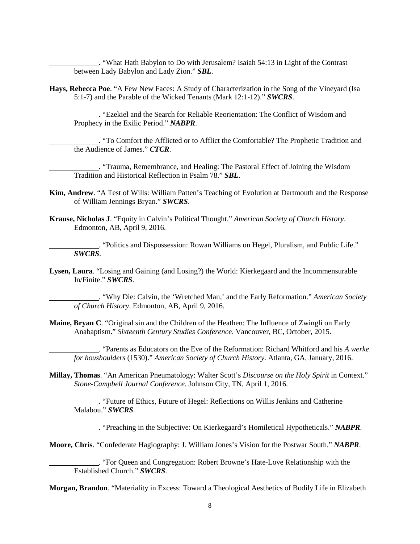. "What Hath Babylon to Do with Jerusalem? Isaiah 54:13 in Light of the Contrast between Lady Babylon and Lady Zion." *SBL*.

**Hays, Rebecca Poe**. "A Few New Faces: A Study of Characterization in the Song of the Vineyard (Isa 5:1-7) and the Parable of the Wicked Tenants (Mark 12:1-12)." *SWCRS*.

. "Ezekiel and the Search for Reliable Reorientation: The Conflict of Wisdom and Prophecy in the Exilic Period." *NABPR*.

. "To Comfort the Afflicted or to Afflict the Comfortable? The Prophetic Tradition and the Audience of James." *CTCR*.

. "Trauma, Remembrance, and Healing: The Pastoral Effect of Joining the Wisdom Tradition and Historical Reflection in Psalm 78." *SBL*.

- **Kim, Andrew**. "A Test of Wills: William Patten's Teaching of Evolution at Dartmouth and the Response of William Jennings Bryan." *SWCRS*.
- **Krause, Nicholas J**. "Equity in Calvin's Political Thought." *American Society of Church History*. Edmonton, AB, April 9, 2016.

. "Politics and Dispossession: Rowan Williams on Hegel, Pluralism, and Public Life." *SWCRS*.

**Lysen, Laura**. "Losing and Gaining (and Losing?) the World: Kierkegaard and the Incommensurable In/Finite." *SWCRS*.

. "Why Die: Calvin, the 'Wretched Man,' and the Early Reformation." *American Society of Church History*. Edmonton, AB, April 9, 2016.

**Maine, Bryan C**. "Original sin and the Children of the Heathen: The Influence of Zwingli on Early Anabaptism." *Sixteenth Century Studies Conference*. Vancouver, BC, October, 2015.

. "Parents as Educators on the Eve of the Reformation: Richard Whitford and his *A werke for houshoulders* (1530)." *American Society of Church History*. Atlanta, GA, January, 2016.

**Millay, Thomas**. "An American Pneumatology: Walter Scott's *Discourse on the Holy Spirit* in Context." *Stone-Campbell Journal Conference*. Johnson City, TN, April 1, 2016.

. "Future of Ethics, Future of Hegel: Reflections on Willis Jenkins and Catherine Malabou." *SWCRS*.

. "Preaching in the Subjective: On Kierkegaard's Homiletical Hypotheticals." *NABPR*.

**Moore, Chris**. "Confederate Hagiography: J. William Jones's Vision for the Postwar South." *NABPR*.

. "For Queen and Congregation: Robert Browne's Hate-Love Relationship with the Established Church." *SWCRS*.

**Morgan, Brandon**. "Materiality in Excess: Toward a Theological Aesthetics of Bodily Life in Elizabeth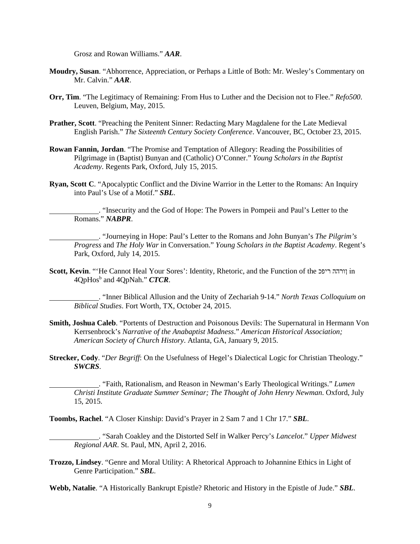Grosz and Rowan Williams." *AAR*.

- **Moudry, Susan**. "Abhorrence, Appreciation, or Perhaps a Little of Both: Mr. Wesley's Commentary on Mr. Calvin." *AAR*.
- **Orr, Tim**. "The Legitimacy of Remaining: From Hus to Luther and the Decision not to Flee." *Refo500*. Leuven, Belgium, May, 2015.
- **Prather, Scott**. "Preaching the Penitent Sinner: Redacting Mary Magdalene for the Late Medieval English Parish." *The Sixteenth Century Society Conference*. Vancouver, BC, October 23, 2015.
- **Rowan Fannin, Jordan**. "The Promise and Temptation of Allegory: Reading the Possibilities of Pilgrimage in (Baptist) Bunyan and (Catholic) O'Conner." *Young Scholars in the Baptist Academy*. Regents Park, Oxford, July 15, 2015.
- **Ryan, Scott C**. "Apocalyptic Conflict and the Divine Warrior in the Letter to the Romans: An Inquiry into Paul's Use of a Motif." *SBL*.

. "Insecurity and the God of Hope: The Powers in Pompeii and Paul's Letter to the Romans." *NABPR*.

. "Journeying in Hope: Paul's Letter to the Romans and John Bunyan's *The Pilgrim's Progress* and *The Holy War* in Conversation." *Young Scholars in the Baptist Academy*. Regent's Park, Oxford, July 14, 2015.

**Scott, Kevin**. "'He Cannot Heal Your Sores': Identity, Rhetoric, and the Function of the ריפכ ןורהה in 4QpHos<sup>b</sup> and 4QpNah." *CTCR*.

. "Inner Biblical Allusion and the Unity of Zechariah 9-14." *North Texas Colloquium on Biblical Studies*. Fort Worth, TX, October 24, 2015.

- **Smith, Joshua Caleb**. "Portents of Destruction and Poisonous Devils: The Supernatural in Hermann Von Kerrsenbrock's *Narrative of the Anabaptist Madness*." *American Historical Association; American Society of Church History*. Atlanta, GA, January 9, 2015.
- **Strecker, Cody**. "*Der Begriff*: On the Usefulness of Hegel's Dialectical Logic for Christian Theology." *SWCRS*.

. "Faith, Rationalism, and Reason in Newman's Early Theological Writings." *Lumen Christi Institute Graduate Summer Seminar; The Thought of John Henry Newman*. Oxford, July 15, 2015.

**Toombs, Rachel**. "A Closer Kinship: David's Prayer in 2 Sam 7 and 1 Chr 17." *SBL*.

. "Sarah Coakley and the Distorted Self in Walker Percy's *Lancelot*." *Upper Midwest Regional AAR*. St. Paul, MN, April 2, 2016.

**Trozzo, Lindsey**. "Genre and Moral Utility: A Rhetorical Approach to Johannine Ethics in Light of Genre Participation." *SBL*.

**Webb, Natalie**. "A Historically Bankrupt Epistle? Rhetoric and History in the Epistle of Jude." *SBL*.